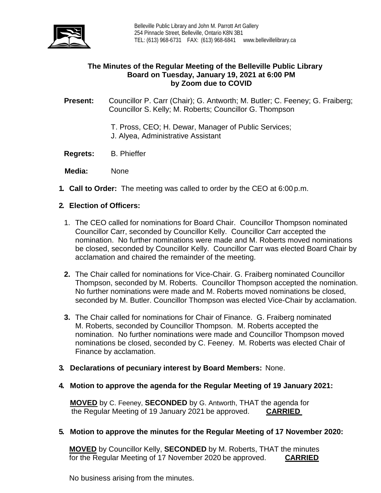

# **The Minutes of the Regular Meeting of the Belleville Public Library Board on Tuesday, January 19, 2021 at 6:00 PM by Zoom due to COVID**

**Present:** Councillor P. Carr (Chair); G. Antworth; M. Butler; C. Feeney; G. Fraiberg; Councillor S. Kelly; M. Roberts; Councillor G. Thompson

- T. Pross, CEO; H. Dewar, Manager of Public Services;
- J. Alyea, Administrative Assistant
- **Regrets:** B. Phieffer
- **Media:** None
- **1. Call to Order:** The meeting was called to order by the CEO at 6:00 p.m.

# **2. Election of Officers:**

- 1. The CEO called for nominations for Board Chair. Councillor Thompson nominated Councillor Carr, seconded by Councillor Kelly. Councillor Carr accepted the nomination. No further nominations were made and M. Roberts moved nominations be closed, seconded by Councillor Kelly. Councillor Carr was elected Board Chair by acclamation and chaired the remainder of the meeting.
- **2.** The Chair called for nominations for Vice-Chair. G. Fraiberg nominated Councillor Thompson, seconded by M. Roberts. Councillor Thompson accepted the nomination. No further nominations were made and M. Roberts moved nominations be closed, seconded by M. Butler. Councillor Thompson was elected Vice-Chair by acclamation.
- **3.** The Chair called for nominations for Chair of Finance. G. Fraiberg nominated M. Roberts, seconded by Councillor Thompson. M. Roberts accepted the nomination. No further nominations were made and Councillor Thompson moved nominations be closed, seconded by C. Feeney. M. Roberts was elected Chair of Finance by acclamation.
- **3. Declarations of pecuniary interest by Board Members:** None.
- **4. Motion to approve the agenda for the Regular Meeting of 19 January 2021:**

**MOVED** by C. Feeney, **SECONDED** by G. Antworth, THAT the agenda for the Regular Meeting of 19 January 2021 be approved. **CARRIED**

## **5. Motion to approve the minutes for the Regular Meeting of 17 November 2020:**

**MOVED** by Councillor Kelly, **SECONDED** by M. Roberts, THAT the minutes for the Regular Meeting of 17 November 2020 be approved. **CARRIED**

No business arising from the minutes.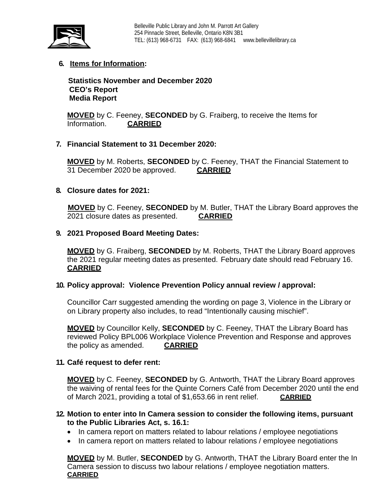

# **6. Items for Information:**

 **Statistics November and December 2020 CEO's Report Media Report**

**MOVED** by C. Feeney, **SECONDED** by G. Fraiberg, to receive the Items for Information. **CARRIED** 

## **7. Financial Statement to 31 December 2020:**

**MOVED** by M. Roberts, **SECONDED** by C. Feeney, THAT the Financial Statement to 31 December 2020 be approved. **CARRIED**

## **8. Closure dates for 2021:**

**MOVED** by C. Feeney, **SECONDED** by M. Butler, THAT the Library Board approves the 2021 closure dates as presented. **CARRIED**

#### **9. 2021 Proposed Board Meeting Dates:**

**MOVED** by G. Fraiberg, **SECONDED** by M. Roberts, THAT the Library Board approves the 2021 regular meeting dates as presented. February date should read February 16. **CARRIED**

## **10. Policy approval: Violence Prevention Policy annual review / approval:**

Councillor Carr suggested amending the wording on page 3, Violence in the Library or on Library property also includes, to read "Intentionally causing mischief".

**MOVED** by Councillor Kelly, **SECONDED** by C. Feeney, THAT the Library Board has reviewed Policy BPL006 Workplace Violence Prevention and Response and approves the policy as amended. **CARRIED**

## **11. Café request to defer rent:**

**MOVED** by C. Feeney, **SECONDED** by G. Antworth, THAT the Library Board approves the waiving of rental fees for the Quinte Corners Café from December 2020 until the end of March 2021, providing a total of \$1,653.66 in rent relief. **CARRIED**

## **12. Motion to enter into In Camera session to consider the following items, pursuant to the Public Libraries Act, s. 16.1:**

- In camera report on matters related to labour relations / employee negotiations
- In camera report on matters related to labour relations / employee negotiations

**MOVED** by M. Butler, **SECONDED** by G. Antworth, THAT the Library Board enter the In Camera session to discuss two labour relations / employee negotiation matters. **CARRIED**